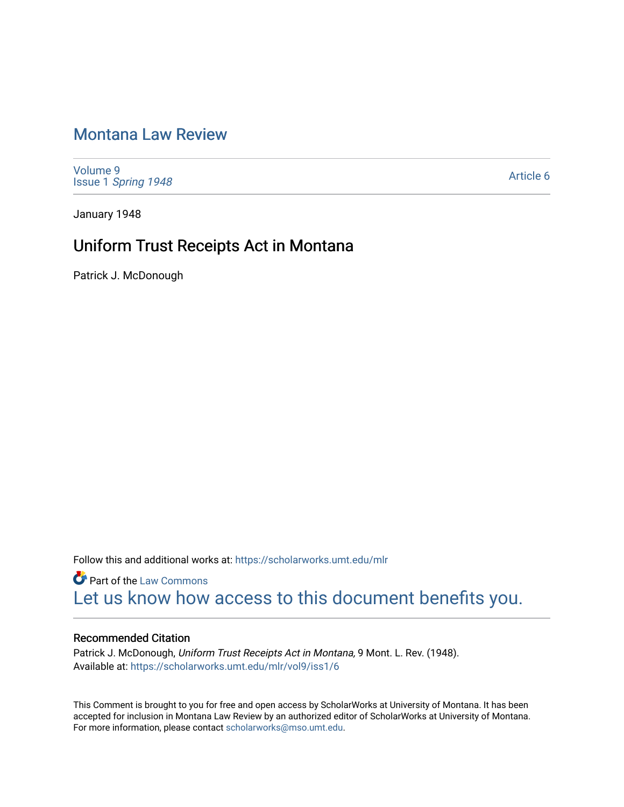## [Montana Law Review](https://scholarworks.umt.edu/mlr)

[Volume 9](https://scholarworks.umt.edu/mlr/vol9) Issue 1 [Spring 1948](https://scholarworks.umt.edu/mlr/vol9/iss1) 

[Article 6](https://scholarworks.umt.edu/mlr/vol9/iss1/6) 

January 1948

# Uniform Trust Receipts Act in Montana

Patrick J. McDonough

Follow this and additional works at: [https://scholarworks.umt.edu/mlr](https://scholarworks.umt.edu/mlr?utm_source=scholarworks.umt.edu%2Fmlr%2Fvol9%2Fiss1%2F6&utm_medium=PDF&utm_campaign=PDFCoverPages) 

**Part of the [Law Commons](http://network.bepress.com/hgg/discipline/578?utm_source=scholarworks.umt.edu%2Fmlr%2Fvol9%2Fiss1%2F6&utm_medium=PDF&utm_campaign=PDFCoverPages)** [Let us know how access to this document benefits you.](https://goo.gl/forms/s2rGfXOLzz71qgsB2) 

### Recommended Citation

Patrick J. McDonough, Uniform Trust Receipts Act in Montana, 9 Mont. L. Rev. (1948). Available at: [https://scholarworks.umt.edu/mlr/vol9/iss1/6](https://scholarworks.umt.edu/mlr/vol9/iss1/6?utm_source=scholarworks.umt.edu%2Fmlr%2Fvol9%2Fiss1%2F6&utm_medium=PDF&utm_campaign=PDFCoverPages)

This Comment is brought to you for free and open access by ScholarWorks at University of Montana. It has been accepted for inclusion in Montana Law Review by an authorized editor of ScholarWorks at University of Montana. For more information, please contact [scholarworks@mso.umt.edu.](mailto:scholarworks@mso.umt.edu)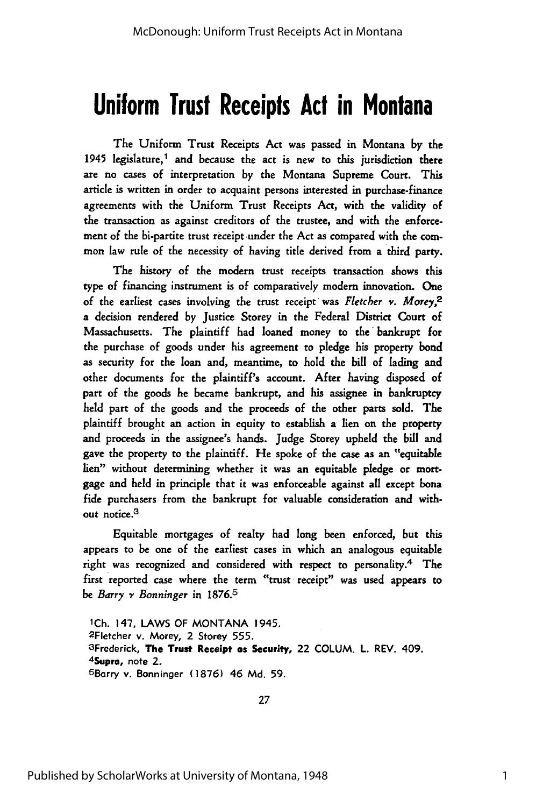# **Uniform Trust Receipts Act in Montana**

The Uniform Trust Receipts Act was passed in Montana **by** the 1945 legislature,<sup>1</sup> and because the act is new to this jurisdiction there are no cases of interpretation by the Montana Supreme Court. This article is written in order to acquaint persons interested in purchase-finance agreements with the Uniform Trust Receipts Act, with the validity of the transaction as against creditors of the trustee, and with the enforcement of the bi-partite trust receipt under the Act as compared with the common law rule of the necessity of having title derived from a third party.

The history of the modern trust receipts transaction shows this type of financing instrument is of comparatively modem innovation. One of the earliest cases involving the trust receipt was *Fletcher v. Morey,2* a decision rendered by Justice Storey in the Federal District Court of Massachusetts. The plaintiff had loaned money to the bankrupt for the purchase of goods under his agreement to pledge his property bond as security for the loan and, meantime, to hold the bill of lading and other documents for the plaintiff's account. After having disposed of part of the goods he became bankrupt, and his assignee in bankruptcy held part of the goods and the proceeds of the other parts sold. The plaintiff brought an action in equity to establish a lien on the property and proceeds in the assignee's hands. Judge Storey upheld the bill and gave the property to the plaintiff. He spoke of the case as an "equitable lien" without determining whether it was an equitable pledge or mortgage and held in principle that it was enforceable against all except bona fide purchasers from the bankrupt for valuable consideration and without notice.<sup>3</sup>

Equitable mortgages of realty had long been enforced, but this appears to be one of the earliest cases in which an analogous equitable right was recognized and considered with respect to personality.4 The first reported case where the term "trust receipt" was used appears to *be* Barry *v Bonninger* in 1876. <sup>5</sup>

iCh. 147, LAWS OF MONTANA 1945. 2Fletcher v. Morey, 2 Storey 555. 3Frederick, The Trust Receipt as Security, 22 **COLUM. L.** REV. 409. <sup>4</sup> Supra, note 2. 6 Borry v. Bonninger **(1876)** 46 **Md. 59.**

27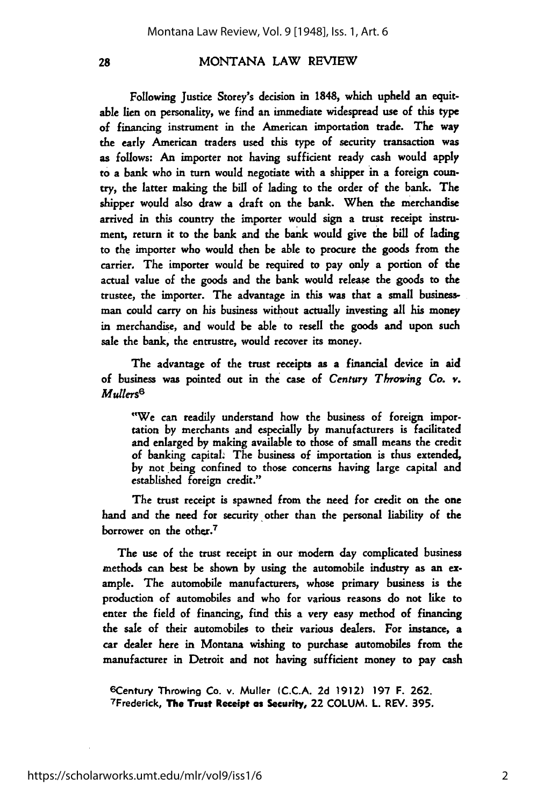28

#### MONTANA LAW REVIEW

Following Justice Storey's decision in **1848,** which upheld an equitable lien on personality, we find an immediate widespread use of this type of financing instrument in the American importation trade. The way the early American traders used this type of security transaction was as follows: An importer not having sufficient ready cash would apply to a bank who in turn would negotiate with a shipper **in** a foreign country, the latter making the bill of lading to the order of the bank. The shipper would also draw a draft on the bank. When the merchandise arrived in this country the importer would sign a trust receipt instrument, return it to the bank and the bank would give the bill of lading to the importer who would then be able to procure the goods from the carrier. The importer would be required to pay only a portion of the actual value of the goods and the bank would release the goods to the trustee, the importer. The advantage in this was that a small businessman could carry on his business without actually investing all his money in merchandise, and would be able to resell the goods and upon such sale the bank, the entrustre, would recover its money.

The advantage of the trust receipts as a financial device in **aid** of business was pointed out in the case of *Century Throwing Co. v. Mullers6*

"We can readily understand how the business of foreign importation by merchants and especially by manufacturers is facilitated and enlarged by making available to those of small means the credit of banking capital. The business of importation is thus extended, by not being confined to those concerns having large capital and established foreign credit."

The trust receipt is spawned from the need for credit on the one hand and the need for security other than the personal liability of the borrower on the other.<sup>7</sup>

The use of the trust receipt in our modern day complicated business methods can best be shown by using the automobile industry as an **ex**ample. The automobile manufacturers, whose primary business is the production of automobiles and who for various reasons do not like to enter the field of financing, find this a very easy method of financing the sale of their automobiles to their various dealers. For instance, a car dealer here in Montana wishing to purchase automobiles from the manufacturer in Detroit and not having sufficient money to pay cash

6Century Throwing Co. v. Muller (C.C.A. **2d 1912) 197** F. **262.** 7Frederick, **The Trust Receipt** as **Security,** 22 **COLUM.** L. REV. **395.**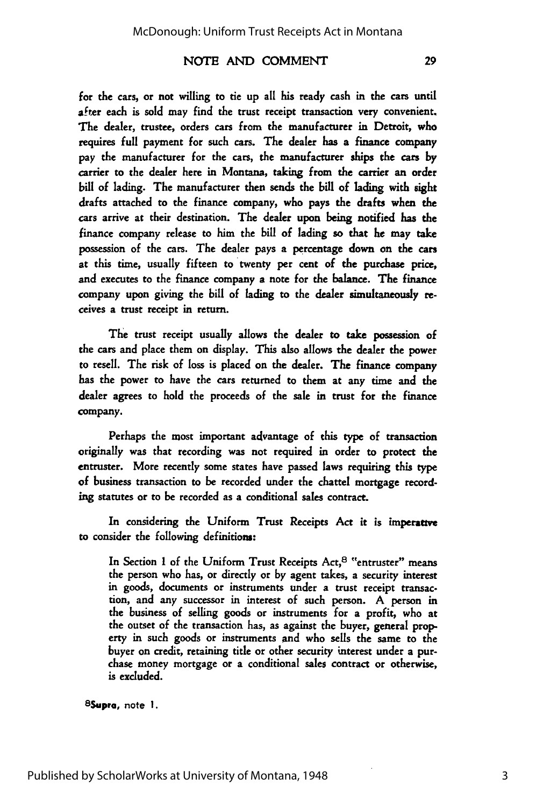#### NOTE AND COMMENT

for the cars, or not willing to tie up all his ready cash in the cars until after each is sold may find the trust receipt transaction very convenient, The dealer, trustee, orders cars from the manufacturer in Detroit, who requires full payment for such cars. The dealer has a finance company pay the manufacturer for the cars, the manufacturer ships the cars by carrier to the dealer here in Montana, taking from the carrier an order bill of lading. The manufacturer then sends the bill of lading with sight drafts attached to the finance company, who pays the drafts when the cars arrive at their destination. The dealer upon being notified has the finance company release to him the bill of lading so that he may take possession of the cars. The dealer pays a percentage down on the cars at this time, usually fifteen to twenty per cent of the purchase price, and executes to the finance company a note for the balance. The finance company upon giving the bill of lading to the dealer simultaneously receives a trust receipt in return.

The trust receipt usually allows the dealer to take possession of the cars and place them on display. This also allows the dealer the power to resell. The risk of loss is placed on the dealer. The finance company has the power to have the cars returned to them at any time and the dealer agrees to hold the proceeds of the sale in trust for the finance company.

Perhaps the most important advantage of this type of transaction originally was that recording was not required in order to protect the entruster. More recently some states have passed laws requiring this type of business transaction to be recorded under the chattel mortgage recording statutes or to be recorded as a conditional sales contract.

In considering the Uniform Trust Receipts Act it is imperattve to consider the following definitions:

In Section 1 of the Uniform Trust Receipts Act,<sup>8</sup> "entruster" means the person who has, or directly or **by** agent takes, a security interest in goods, documents or instruments under a trust receipt transac. tion, and any successor in interest of such person. A person in the business of selling goods or instruments for a profit, who at the outset of the transaction has, as against the buyer, general property in such goods or instruments and who sells the same to the buyer on credit, retaining title or other security interest under a purchase money mortgage or a conditional sales contract or otherwise, is excluded.

<sup>8</sup> Supra, note **1.**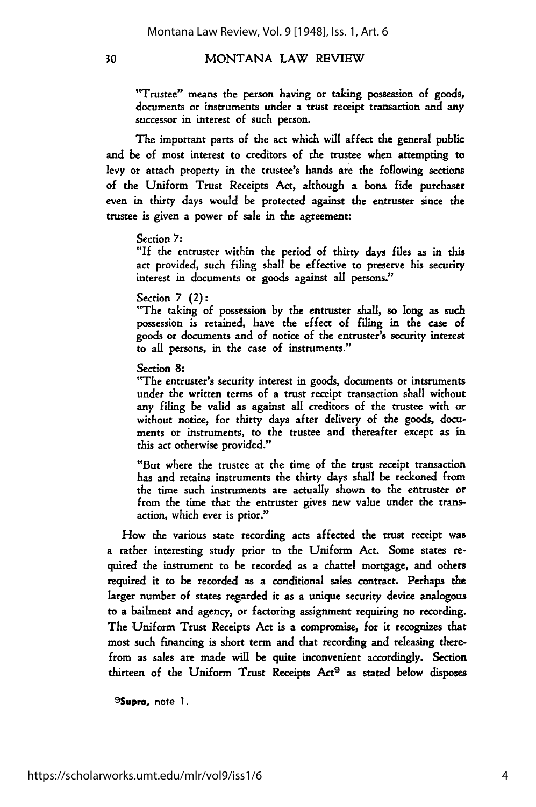#### 30

#### MONTANA LAW REVIEW

"Trustee" means the person having or taking possession of goods, documents or instruments under a trust receipt transaction and any successor in interest of such person.

The important parts of the act which will affect the general public and be of most interest to creditors of the trustee when attempting to levy or attach property in the trustee's hands are the following sections of the Uniform Trust Receipts Act, although a bona fide purchaser even in thirty days would be protected against the entruster since the trustee is given a power of sale in the agreement:

#### Section 7:

"If the entruster within the period of thirty days files as in this act provided, such filing shall be effective to preserve his security interest in documents or goods against all persons."

Section **7** (2):

"The taking of possession by the entruster shall, so long as such possession is retained, have the effect of filing in the case of goods or documents and of notice of the entruster's security interest to all persons, in the case of instruments."

Section 8:

"The entruster's security interest in goods, documents or intsruments under the written terms of a trust receipt transaction shall without any filing be valid as against all creditors of the trustee with or without notice, for thirty days after delivery of the goods, documents or instruments, to the trustee and thereafter except as in this act otherwise provided."

"But where the trustee at the time of the trust receipt transaction has and retains instruments the thirty days shall be reckoned from the time such instruments are actually shown to the entruster or from the time that the entruster gives new value under the transaction, which ever is prior."

How the various state recording acts affected the trust receipt was a rather interesting study prior to the Uniform Act. Some states required the instrument to be recorded as a chattel mortgage, and others required it to be recorded as a conditional sales contract. Perhaps the larger number of states regarded it as a unique security device analogous to a bailment and agency, or factoring assignment requiring no recording. The Uniform Trust Receipts Act is a compromise, for it recognizes that most such financing is short term and that recording and releasing therefrom as sales are made will be quite inconvenient accordingly. Section thirteen of the Uniform Trust Receipts Act<sup>9</sup> as stated below disposes

<sup>9</sup> Supra, note **1.**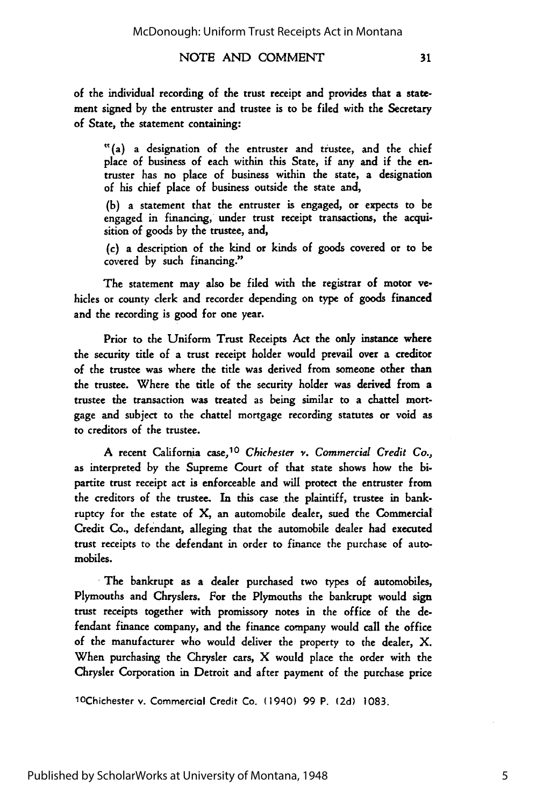#### NOTE AND COMMENT

"(a) a designation of the entruster and trustee, and the chief place of business of each within this State, if any and if the **en**truster has no place of business within the state, a designation of his chief place of business outside the state and,

(b) a statement that the entruster is engaged, or expects to be engaged in financing, under trust receipt transactions, the acquisition of goods by the trustee, and,

(c) a description of the kind or kinds of goods covered or to be covered by such financing."

The statement may also be filed with the registrar of motor vehicles or county clerk and recorder depending on type of goods financed and the recording is good for one year.

Prior to the Uniform Trust Receipts Act the only instance where the security title of a trust receipt holder would prevail over a creditor of the trustee was where the title was derived from someone other than the trustee. Where the title of the security holder was derived from a trustee the transaction was treated as being similar to a chattel mortgage and subject to the chattel mortgage recording statutes or void as to creditors of the trustee.

A recent California case, <sup>10</sup>*Chichester v. Commercial Credit Co.,* as interpreted by the Supreme Court of that state shows how the bipartite trust receipt act is enforceable and will protect the entruster from the creditors of the trustee. In this case the plaintiff, trustee in bankruptcy for the estate of X, an automobile dealer, sued the Commercial Credit Co., defendant, alleging that the automobile dealer had executed trust receipts to the defendant in order to finance the purchase of automobiles.

The bankrupt as a dealer purchased two types of automobiles, Plymouths and Chryslers. For the Plymouths the bankrupt would sign trust receipts together with promissory notes in the office of the defendant finance company, and the finance company would call the office of the manufacturer who would deliver the property to the dealer, X. When purchasing the Chrysler cars, X would place the order with the Chrysler Corporation in Detroit and after payment of the purchase price

1OChichester v. Commercial Credit Co. (1940) 99 P. (2d) 1083.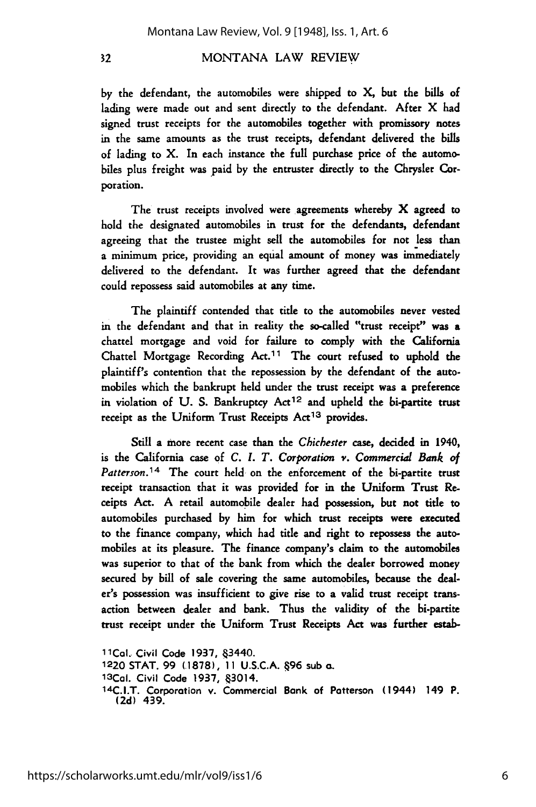#### MONTANA LAW REVIEW

by the defendant, the automobiles were shipped to X, but the bills of lading were made out and sent directly to the defendant. After X **had** signed trust receipts for the automobiles together with promissory notes in the same amounts as the trust receipts, defendant delivered the bills of lading to X. In each instance the full purchase price of the automobiles plus freight was paid by the entruster directly to the Chrysler Corporation.

The trust receipts involved were agreements whereby X agreed to hold the designated automobiles in trust for the defendants, defendant agreeing that the trustee might sell the automobiles for not less than a minimum price, providing an equal amount of money was immediately delivered to the defendant. It was further agreed that the defendant could repossess said automobiles at any time.

The plaintiff contended that title to the automobiles never vested in the defendant and that in reality the so-called "trust receipt" was a chattel mortgage and void for failure to comply with the California Chattel Mortgage Recording Act.<sup>11</sup> The court refused to uphold the plaintiff's contention that the repossession by the defendant of the automobiles which the bankrupt held under the trust receipt was a preference in violation of **U.** S. Bankruptcy Act 12 and upheld the bi-partite trust receipt as the Uniform Trust Receipts Act<sup>13</sup> provides.

Still a more recent case than the Chichester case, decided in 1940, is the California case of *C. I. T. Corporation v. Commercial Bank of Patterson.14* The court held on the enforcement of the bi-partite trust receipt transaction that it was provided for in the Uniform Trust **Re**ceipts Act. A retail automobile dealer had possession, but not title to automobiles purchased by him for which trust receipts were executed to the finance company, which had title and right to repossess the automobiles at its pleasure. The finance company's claim to the automobiles was superior to that of the bank from which the dealer borrowed money secured by bill of sale covering the same automobiles, because the dealer's possession was insufficient to give rise to a valid trust receipt transaction between dealer and bank. Thus the validity of the bi-partite trust receipt under the Uniform Trust Receipts Act was further estab-

11Cal. Civil Code 1937, §3440. 1220 **STAT.** 99 **(.1878), 11** U.S.C.A. 496 sub o. 13 Cal. Civil Code 1937, §3014. 14C.I.T. Corporation v. Commercial Bank of Patterson (1944) 149 P. (2d) 439.

 $32$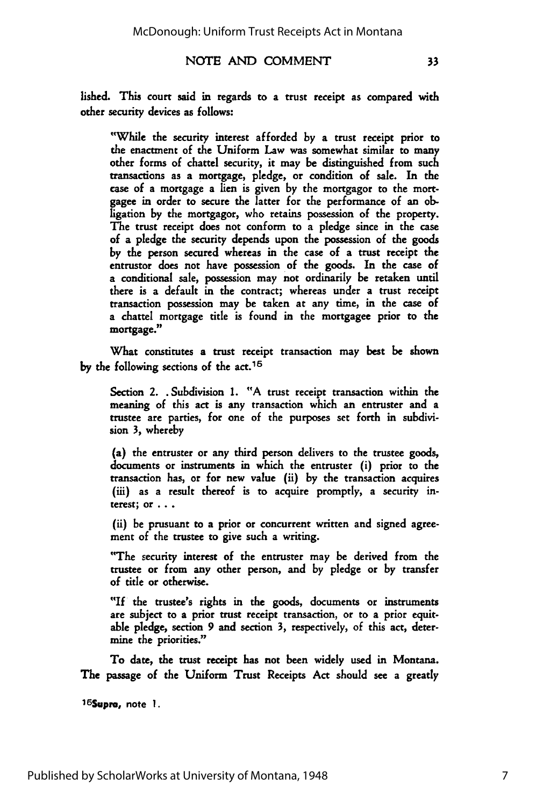#### NOTE AND COMMENT

lished. This court said in regards to a trust receipt as compared with other security devices as follows:

"While the security interest afforded by a trust receipt prior to the enactment of the Uniform Law was somewhat similar to many other forms of chattel security, it may be distinguished from such transactions as a mortgage, pledge, or condition of sale. In the case of a mortgage a lien is given by the mortgagor to the mortgagee in order to secure the latter for the performance of an obligation by the mortgagor, who retains possession of the property. The trust receipt does not conform to a pledge since in the case of a pledge the security depends upon the possession of the goods by the person secured whereas in the case of a trust receipt the entrustor does not have possession of the goods. In the case of a conditional sale, possession may not ordinarily be retaken until there is a default in the contract; whereas under a trust receipt transaction possession may be taken at any time, in the case of a chattel mortgage title is found in the mortgagee prior to the mortgage."

What constitutes a trust receipt transaction may best be shown **by** the following sections of the act. <sup>15</sup>

Section 2. . Subdivision 1. "A trust receipt transaction within the meaning of this act is any transaction which an entruster and a trustee are parties, for one of the purposes set forth in subdivision 3, whereby

(a) the entruster or any third person delivers to the trustee goods, documents or instruments in which the entruster (i) prior to the transaction has, or for new value (ii) by the transaction acquires (iii) as a result thereof is to acquire promptly, a security interest; or **. . .**

(ii) be prusuant to a prior or concurrent written and signed agreement of the trustee to give such a writing.

"The security interest of the entruster may be derived from the trustee or from any other person, and by pledge or by transfer of title or otherwise.

"If the trustee's rights in the goods, documents or instruments are subject to a prior trust receipt transaction, or to a prior equitable pledge, section **9** and section **3,** respectively, of this act, determine the priorities."

To date, the trust receipt has not been widely used in Montana. The passage of the Uniform Trust Receipts Act should see a greatly

**16Supra,** note **1.**